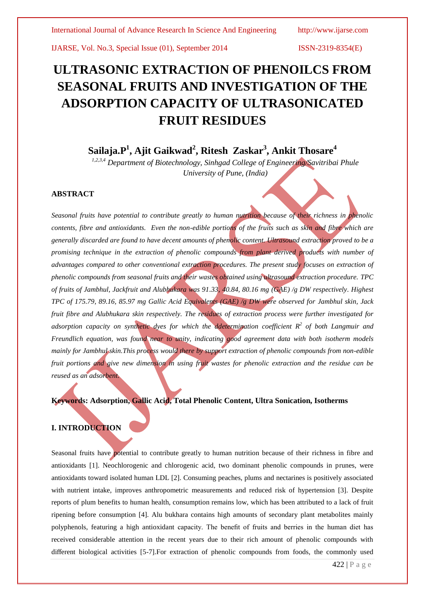# **ULTRASONIC EXTRACTION OF PHENOILCS FROM SEASONAL FRUITS AND INVESTIGATION OF THE ADSORPTION CAPACITY OF ULTRASONICATED FRUIT RESIDUES**

# **Sailaja.P<sup>1</sup> , Ajit Gaikwad<sup>2</sup> , Ritesh Zaskar<sup>3</sup> , Ankit Thosare<sup>4</sup>**

*1,2,3,4 Department of Biotechnology, Sinhgad College of Engineering/Savitribai Phule University of Pune, (India)*

# **ABSTRACT**

*Seasonal fruits have potential to contribute greatly to human nutrition because of their richness in phenolic contents, fibre and antioxidants. Even the non-edible portions of the fruits such as skin and fibre which are generally discarded are found to have decent amounts of phenolic content. Ultrasound extraction proved to be a promising technique in the extraction of phenolic compounds from plant derived products with number of advantages compared to other conventional extraction procedures. The present study focuses on extraction of phenolic compounds from seasonal fruits and their wastes obtained using ultrasound extraction procedure. TPC of fruits of Jambhul, Jackfruit and Alubhukara was 91.33, 40.84, 80.16 mg (GAE) /g DW respectively. Highest TPC of 175.79, 89.16, 85.97 mg Gallic Acid Equivalents (GAE) /g DW were observed for Jambhul skin, Jack fruit fibre and Alubhukara skin respectively. The residues of extraction process were further investigated for adsorption capacity on synthetic dyes for which the ddetermination coefficient R 2 of both Langmuir and Freundlich equation, was found near to unity, indicating good agreement data with both isotherm models mainly for Jambhul skin.This process would there by support extraction of phenolic compounds from non-edible fruit portions and give new dimension in using fruit wastes for phenolic extraction and the residue can be reused as an adsorbent.*

**Keywords: Adsorption, Gallic Acid, Total Phenolic Content, Ultra Sonication, Isotherms**

# **I. INTRODUCTION**

Seasonal fruits have potential to contribute greatly to human nutrition because of their richness in fibre and antioxidants [1]. Neochlorogenic and chlorogenic acid, two dominant phenolic compounds in prunes, were antioxidants toward isolated human LDL [2]. Consuming peaches, plums and nectarines is positively associated with nutrient intake, improves anthropometric measurements and reduced risk of hypertension [3]. Despite reports of plum benefits to human health, consumption remains low, which has been attributed to a lack of fruit ripening before consumption [4]. Alu bukhara contains high amounts of secondary plant metabolites mainly polyphenols, featuring a high antioxidant capacity. The benefit of fruits and berries in the human diet has received considerable attention in the recent years due to their rich amount of phenolic compounds with different biological activities [5-7].For extraction of phenolic compounds from foods, the commonly used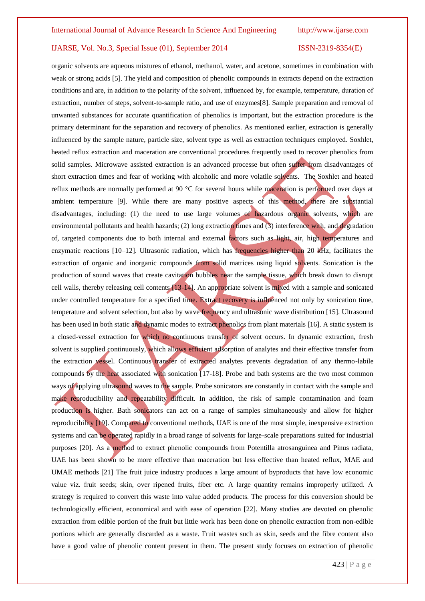organic solvents are aqueous mixtures of ethanol, methanol, water, and acetone, sometimes in combination with weak or strong acids [5]. The yield and composition of phenolic compounds in extracts depend on the extraction conditions and are, in addition to the polarity of the solvent, influenced by, for example, temperature, duration of extraction, number of steps, solvent-to-sample ratio, and use of enzymes[8]. Sample preparation and removal of unwanted substances for accurate quantification of phenolics is important, but the extraction procedure is the primary determinant for the separation and recovery of phenolics. As mentioned earlier, extraction is generally influenced by the sample nature, particle size, solvent type as well as extraction techniques employed. Soxhlet, heated reflux extraction and maceration are conventional procedures frequently used to recover phenolics from solid samples. Microwave assisted extraction is an advanced processe but often suffer from disadvantages of short extraction times and fear of working with alcoholic and more volatile solvents. The Soxhlet and heated reflux methods are normally performed at 90 °C for several hours while maceration is performed over days at ambient temperature [9]. While there are many positive aspects of this method, there are substantial disadvantages, including: (1) the need to use large volumes of hazardous organic solvents, which are environmental pollutants and health hazards; (2) long extraction times and (3) interference with, and degradation of, targeted components due to both internal and external factors such as light, air, high temperatures and enzymatic reactions [10–12]. Ultrasonic radiation, which has frequencies higher than 20 kHz, facilitates the extraction of organic and inorganic compounds from solid matrices using liquid solvents. Sonication is the production of sound waves that create cavitation bubbles near the sample tissue, which break down to disrupt cell walls, thereby releasing cell contents [13-14]. An appropriate solvent is mixed with a sample and sonicated under controlled temperature for a specified time. Extract recovery is influenced not only by sonication time, temperature and solvent selection, but also by wave frequency and ultrasonic wave distribution [15]. Ultrasound has been used in both static and dynamic modes to extract phenolics from plant materials [16]. A static system is a closed-vessel extraction for which no continuous transfer of solvent occurs. In dynamic extraction, fresh solvent is supplied continuously, which allows efficient adsorption of analytes and their effective transfer from the extraction vessel. Continuous transfer of extracted analytes prevents degradation of any thermo-labile compounds by the heat associated with sonication [17-18]. Probe and bath systems are the two most common ways of applying ultrasound waves to the sample. Probe sonicators are constantly in contact with the sample and make reproducibility and repeatability difficult. In addition, the risk of sample contamination and foam production is higher. Bath sonicators can act on a range of samples simultaneously and allow for higher reproducibility [19]. Compared to conventional methods, UAE is one of the most simple, inexpensive extraction systems and can be operated rapidly in a broad range of solvents for large-scale preparations suited for industrial purposes [20]. As a method to extract phenolic compounds from Potentilla atrosanguinea and Pinus radiata, UAE has been shown to be more effective than maceration but less effective than heated reflux, MAE and UMAE methods [21] The fruit juice industry produces a large amount of byproducts that have low economic value viz. fruit seeds; skin, over ripened fruits, fiber etc. A large quantity remains improperly utilized. A strategy is required to convert this waste into value added products. The process for this conversion should be technologically efficient, economical and with ease of operation [22]. Many studies are devoted on phenolic extraction from edible portion of the fruit but little work has been done on phenolic extraction from non-edible portions which are generally discarded as a waste. Fruit wastes such as skin, seeds and the fibre content also have a good value of phenolic content present in them. The present study focuses on extraction of phenolic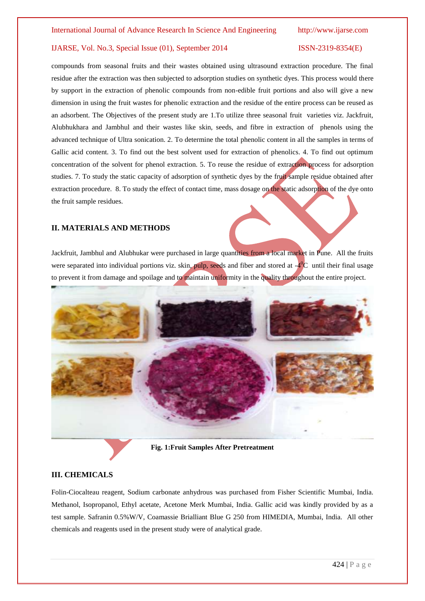compounds from seasonal fruits and their wastes obtained using ultrasound extraction procedure. The final residue after the extraction was then subjected to adsorption studies on synthetic dyes. This process would there by support in the extraction of phenolic compounds from non-edible fruit portions and also will give a new dimension in using the fruit wastes for phenolic extraction and the residue of the entire process can be reused as an adsorbent. The Objectives of the present study are 1.To utilize three seasonal fruit varieties viz. Jackfruit, Alubhukhara and Jambhul and their wastes like skin, seeds, and fibre in extraction of phenols using the advanced technique of Ultra sonication. 2. To determine the total phenolic content in all the samples in terms of Gallic acid content. 3. To find out the best solvent used for extraction of phenolics. 4. To find out optimum concentration of the solvent for phenol extraction. 5. To reuse the residue of extraction process for adsorption studies. 7. To study the static capacity of adsorption of synthetic dyes by the fruit sample residue obtained after extraction procedure. 8. To study the effect of contact time, mass dosage on the static adsorption of the dye onto the fruit sample residues.

## **II. MATERIALS AND METHODS**

Jackfruit, Jambhul and Alubhukar were purchased in large quantities from a local market in Pune. All the fruits were separated into individual portions viz. skin, pulp, seeds and fiber and stored at  $-4^{\circ}$ C until their final usage to prevent it from damage and spoilage and to maintain uniformity in the quality throughout the entire project.



**Fig. 1:Fruit Samples After Pretreatment**

### **III. CHEMICALS**

Folin-Ciocalteau reagent, Sodium carbonate anhydrous was purchased from Fisher Scientific Mumbai, India. Methanol, Isopropanol, Ethyl acetate, Acetone Merk Mumbai, India. Gallic acid was kindly provided by as a test sample. Safranin 0.5%W/V, Coamassie Brialliant Blue G 250 from HIMEDIA, Mumbai, India. All other chemicals and reagents used in the present study were of analytical grade.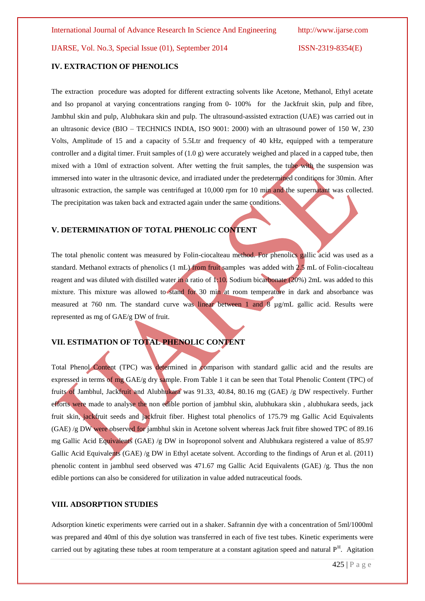# **IV. EXTRACTION OF PHENOLICS**

The extraction procedure was adopted for different extracting solvents like Acetone, Methanol, Ethyl acetate and Iso propanol at varying concentrations ranging from 0- 100% for the Jackfruit skin, pulp and fibre, Jambhul skin and pulp, Alubhukara skin and pulp. The ultrasound-assisted extraction (UAE) was carried out in an ultrasonic device (BIO – TECHNICS INDIA, ISO 9001: 2000) with an ultrasound power of 150 W, 230 Volts, Amplitude of 15 and a capacity of 5.5Ltr and frequency of 40 kHz, equipped with a temperature controller and a digital timer. Fruit samples of  $(1.0 \text{ g})$  were accurately weighed and placed in a capped tube, then mixed with a 10ml of extraction solvent. After wetting the fruit samples, the tube with the suspension was immersed into water in the ultrasonic device, and irradiated under the predetermined conditions for 30min. After ultrasonic extraction, the sample was centrifuged at 10,000 rpm for 10 min and the supernatant was collected. The precipitation was taken back and extracted again under the same conditions.

# **V. DETERMINATION OF TOTAL PHENOLIC CONTENT**

The total phenolic content was measured by Folin-ciocalteau method. For phenolics gallic acid was used as a standard. Methanol extracts of phenolics (1 mL) from fruit samples was added with 2.5 mL of Folin-ciocalteau reagent and was diluted with distilled water in a ratio of 1:10. Sodium bicarbonate (20%) 2mL was added to this mixture. This mixture was allowed to stand for 30 min at room temperature in dark and absorbance was measured at 760 nm. The standard curve was linear between 1 and 8 µg/mL gallic acid. Results were represented as mg of GAE/g DW of fruit.

# **VII. ESTIMATION OF TOTAL PHENOLIC CONTENT**

Total Phenol Content (TPC) was determined in comparison with standard gallic acid and the results are expressed in terms of mg GAE/g dry sample. From Table 1 it can be seen that Total Phenolic Content (TPC) of fruits of Jambhul, Jackfruit and Alubhukara was 91.33, 40.84, 80.16 mg (GAE) /g DW respectively. Further efforts were made to analyse the non edible portion of jambhul skin, alubhukara skin , alubhukara seeds, jack fruit skin, jackfruit seeds and jackfruit fiber. Highest total phenolics of 175.79 mg Gallic Acid Equivalents (GAE) /g DW were observed for jambhul skin in Acetone solvent whereas Jack fruit fibre showed TPC of 89.16 mg Gallic Acid Equivalents (GAE) /g DW in Isoproponol solvent and Alubhukara registered a value of 85.97 Gallic Acid Equivalents (GAE) /g DW in Ethyl acetate solvent. According to the findings of Arun et al. (2011) phenolic content in jambhul seed observed was 471.67 mg Gallic Acid Equivalents (GAE) /g. Thus the non edible portions can also be considered for utilization in value added nutraceutical foods.

# **VIII. ADSORPTION STUDIES**

Adsorption kinetic experiments were carried out in a shaker. Safrannin dye with a concentration of 5ml/1000ml was prepared and 40ml of this dye solution was transferred in each of five test tubes. Kinetic experiments were carried out by agitating these tubes at room temperature at a constant agitation speed and natural  $P<sup>H</sup>$ . Agitation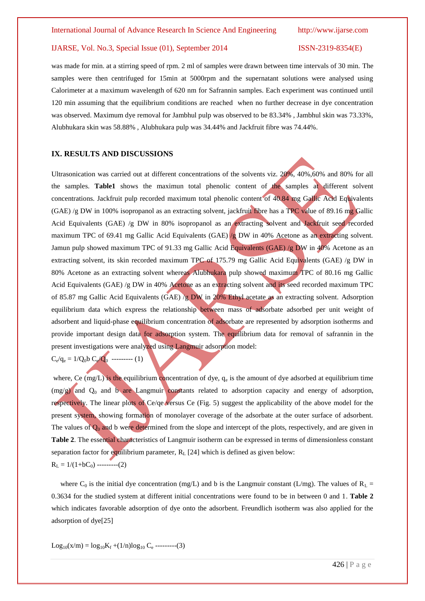was made for min. at a stirring speed of rpm. 2 ml of samples were drawn between time intervals of 30 min. The samples were then centrifuged for 15min at 5000rpm and the supernatant solutions were analysed using Calorimeter at a maximum wavelength of 620 nm for Safrannin samples. Each experiment was continued until 120 min assuming that the equilibrium conditions are reached when no further decrease in dye concentration was observed. Maximum dye removal for Jambhul pulp was observed to be 83.34% , Jambhul skin was 73.33%, Alubhukara skin was 58.88% , Alubhukara pulp was 34.44% and Jackfruit fibre was 74.44%.

# **IX. RESULTS AND DISCUSSIONS**

Ultrasonication was carried out at different concentrations of the solvents viz. 20%, 40%,60% and 80% for all the samples. **Table1** shows the maximun total phenolic content of the samples at different solvent concentrations. Jackfruit pulp recorded maximum total phenolic content of 40.84 mg Gallic Acid Equivalents (GAE) /g DW in 100% isopropanol as an extracting solvent, jackfruit fibre has a TPC value of 89.16 mg Gallic Acid Equivalents (GAE) /g DW in 80% isopropanol as an extracting solvent and Jackfruit seed recorded maximum TPC of 69.41 mg Gallic Acid Equivalents (GAE) /g DW in 40% Acetone as an extracting solvent. Jamun pulp showed maximum TPC of 91.33 mg Gallic Acid Equivalents (GAE) /g DW in 40% Acetone as an extracting solvent, its skin recorded maximum TPC of 175.79 mg Gallic Acid Equivalents (GAE) /g DW in 80% Acetone as an extracting solvent whereas Alubhukara pulp showed maximum TPC of 80.16 mg Gallic Acid Equivalents (GAE) /g DW in 40% Acetone as an extracting solvent and its seed recorded maximum TPC of 85.87 mg Gallic Acid Equivalents (GAE) /g DW in 20% Ethyl acetate as an extracting solvent. Adsorption equilibrium data which express the relationship between mass of adsorbate adsorbed per unit weight of adsorbent and liquid-phase equilibrium concentration of adsorbate are represented by adsorption isotherms and provide important design data for adsorption system. The equilibrium data for removal of safrannin in the present investigations were analyzed using Langmuir adsorption model:

 $C_e/q_e = 1/Q_0 b C_e/Q_0$  --------- (1)

where, Ce  $(mg/L)$  is the equilibrium concentration of dye,  $q_e$  is the amount of dye adsorbed at equilibrium time  $(mg/g)$  and  $Q_0$  and b are Langmuir constants related to adsorption capacity and energy of adsorption, respectively. The linear plots of Ce/qe versus Ce (Fig. 5) suggest the applicability of the above model for the present system, showing formation of monolayer coverage of the adsorbate at the outer surface of adsorbent. The values of  $Q_0$  and b were determined from the slope and intercept of the plots, respectively, and are given in **Table 2**. The essential characteristics of Langmuir isotherm can be expressed in terms of dimensionless constant separation factor for equilibrium parameter,  $R_L$  [24] which is defined as given below:  $R_L = 1/(1+bC_0)$  ---------(2)

where C<sub>0</sub> is the initial dye concentration (mg/L) and b is the Langmuir constant (L/mg). The values of  $R_L$  = 0.3634 for the studied system at different initial concentrations were found to be in between 0 and 1. **Table 2**  which indicates favorable adsorption of dye onto the adsorbent. Freundlich isotherm was also applied for the adsorption of dye[25]

 $Log_{10}(x/m) = log_{10}K_f + (1/n)log_{10}C_e$  ---------(3)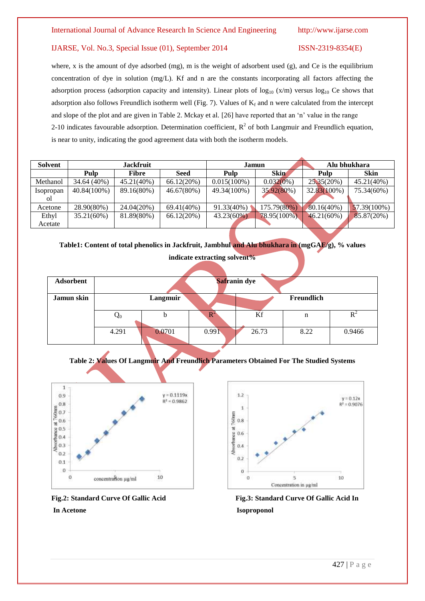where, x is the amount of dye adsorbed (mg), m is the weight of adsorbent used (g), and Ce is the equilibrium concentration of dye in solution (mg/L). Kf and n are the constants incorporating all factors affecting the adsorption process (adsorption capacity and intensity). Linear plots of  $log_{10} (x/m)$  versus  $log_{10} Ce$  shows that adsorption also follows Freundlich isotherm well (Fig. 7). Values of  $K_f$  and n were calculated from the intercept and slope of the plot and are given in Table 2. Mckay et al. [26] have reported that an 'n' value in the range 2-10 indicates favourable adsorption. Determination coefficient,  $R^2$  of both Langmuir and Freundlich equation, is near to unity, indicating the good agreement data with both the isotherm models.

| <b>Solvent</b>  | <b>Jackfruit</b> |               |               | Jamun          |              | Alu bhukhara  |             |
|-----------------|------------------|---------------|---------------|----------------|--------------|---------------|-------------|
|                 | Pulp             | <b>Fibre</b>  | <b>Seed</b>   | Pulp           | <b>Skin</b>  | Pulp          | <b>Skin</b> |
| Methanol        | 34.64 (40%)      | $45.21(40\%)$ | 66.12(20%)    | $0.015(100\%)$ | $0.032(0\%)$ | 25,35(20%)    | 45.21(40%)  |
| Isopropan<br>ΩL | $40.84(100\%)$   | 89.16(80%)    | 46.67(80%)    | 49.34(100%)    | 35.92(80%)   | 32.83(100%)   | 75.34(60%)  |
| Acetone         | 28.90(80%)       | 24.04(20%)    | $69.41(40\%)$ | 91.33(40%)     | 175.79(80%)  | $80.16(40\%)$ | 57.39(100%) |
| Ethyl           | 35.21(60%)       | 81.89(80%)    | 66.12(20%)    | $43.23(60\%)$  | 78.95(100%). | 46.21(60%)    | 85.87(20%)  |
| Acetate         |                  |               |               |                |              |               |             |

**Table1: Content of total phenolics in Jackfruit, Jambhul and Alu bhukhara in (mgGAE/g), % values** 

| Adsorbent  | Safranin dye           |        |             |       |      |        |  |  |  |
|------------|------------------------|--------|-------------|-------|------|--------|--|--|--|
| Jamun skin | Langmuir<br>Freundlich |        |             |       |      |        |  |  |  |
|            | $\mathbf{Q}_0$         | b      | $\mathbb R$ | Kf    | n    |        |  |  |  |
|            | 4.291                  | 0.0701 | 0.991       | 26.73 | 8.22 | 0.9466 |  |  |  |

**indicate extracting solvent%**









Fig.2: Standard Curve Of Gallic Acid Fig.3: Standard Curve Of Gallic Acid In **In Acetone** Isoproponol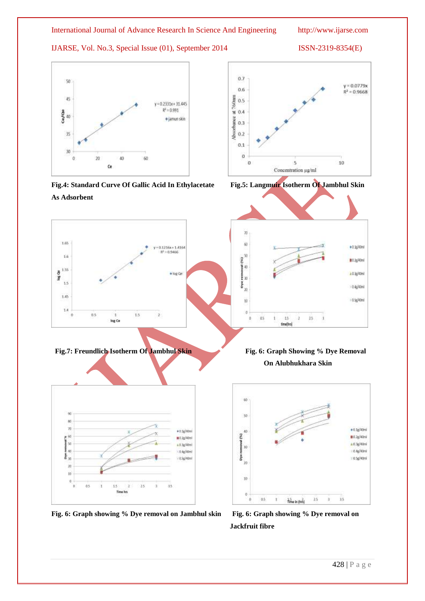

**Fig.4: Standard Curve Of Gallic Acid In Ethylacetate Fig.5: Langmuir Isotherm Of Jambhul Skin As Adsorbent**

 $1.5$ 

ż

 $\mathbbm{1}$ 

log Ce

1.65

 $1.6$ 

 $\frac{8}{9}^{1.35}$ 

 $1.5$ 

 $1.45$ 

 $14$ 

 $\mathbf{0}$ 

90

88 70

ia)

łх

ţ 40

盖面

30  $10^{\circ}$ 

> $\hat{\theta}$ b  $0S$ ¥ 15 ż  $25$

 $0.5$ 

 $\begin{array}{c} \hline \end{array}$ 

 $+0.36^{100m}$ 

 $0.22/401$ 

s (1.3g/2011)

 $140/800$ 

10.5g/40ml

 $0.1216x + 1.416x$  $= 0.9466$ 

· log Ce

I









**Fig. 6: Graph showing % Dye removal on Jambhul skin Fig. 6: Graph showing % Dye removal on** 

Time hrs.

s ik.

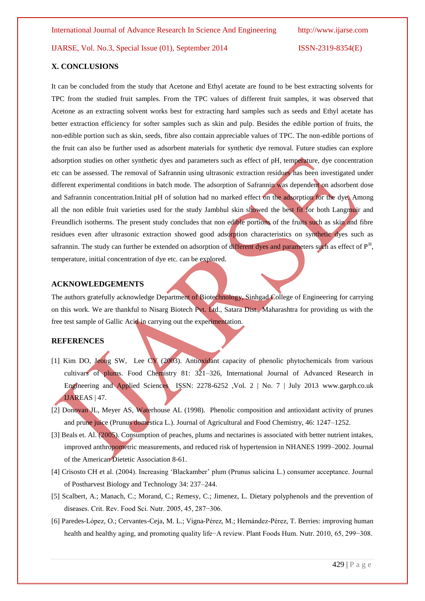## **X. CONCLUSIONS**

It can be concluded from the study that Acetone and Ethyl acetate are found to be best extracting solvents for TPC from the studied fruit samples. From the TPC values of different fruit samples, it was observed that Acetone as an extracting solvent works best for extracting hard samples such as seeds and Ethyl acetate has better extraction efficiency for softer samples such as skin and pulp. Besides the edible portion of fruits, the non-edible portion such as skin, seeds, fibre also contain appreciable values of TPC. The non-edible portions of the fruit can also be further used as adsorbent materials for synthetic dye removal. Future studies can explore adsorption studies on other synthetic dyes and parameters such as effect of pH, temperature, dye concentration etc can be assessed. The removal of Safrannin using ultrasonic extraction residues has been investigated under different experimental conditions in batch mode. The adsorption of Safrannin was dependent on adsorbent dose and Safrannin concentration.Initial pH of solution had no marked effect on the adsorption for the dye. Among all the non edible fruit varieties used for the study Jambhul skin showed the best fit for both Langmuir and Freundlich isotherms. The present study concludes that non edible portions of the fruits such as skin and fibre residues even after ultrasonic extraction showed good adsorption characteristics on synthetic dyes such as safrannin. The study can further be extended on adsorption of different dyes and parameters such as effect of P<sup>H</sup>, temperature, initial concentration of dye etc. can be explored.

# **ACKNOWLEDGEMENTS**

The authors gratefully acknowledge Department of Biotechnology, Sinhgad College of Engineering for carrying on this work. We are thankful to Nisarg Biotech Pvt. Ltd., Satara Dist., Maharashtra for providing us with the free test sample of Gallic Acid in carrying out the experimentation.

# **REFERENCES**

- [1] Kim DO, Jeong SW, Lee CY (2003). Antioxidant capacity of phenolic phytochemicals from various cultivars of plums. Food Chemistry 81: 321-326, International Journal of Advanced Research in Engineering and Applied Sciences ISSN: 2278-6252 ,Vol. 2 | No. 7 | July 2013 www.garph.co.uk IJAREAS | 47.
- [2] Donovan JL, Meyer AS, Waterhouse AL (1998). Phenolic composition and antioxidant activity of prunes and prune juice (Prunus domestica L.). Journal of Agricultural and Food Chemistry, 46: 1247–1252.
- [3] Beals et. Al. (2005). Consumption of peaches, plums and nectarines is associated with better nutrient intakes, improved anthropometric measurements, and reduced risk of hypertension in NHANES 1999–2002. Journal of the American Dietetic Association 8-61.
- [4] Crisosto CH et al. (2004). Increasing 'Blackamber' plum (Prunus salicina L.) consumer acceptance. Journal of Postharvest Biology and Technology 34: 237–244.
- [5] Scalbert, A.; Manach, C.; Morand, C.; Remesy, C.; Jimenez, L. Dietary polyphenols and the prevention of diseases. Crit. Rev. Food Sci. Nutr. 2005, 45, 287−306.
- [6] Paredes-López, O.; Cervantes-Ceja, M. L.; Vigna-Pérez, M.; Hernández-Pérez, T. Berries: improving human health and healthy aging, and promoting quality life−A review. Plant Foods Hum. Nutr. 2010, 65, 299−308.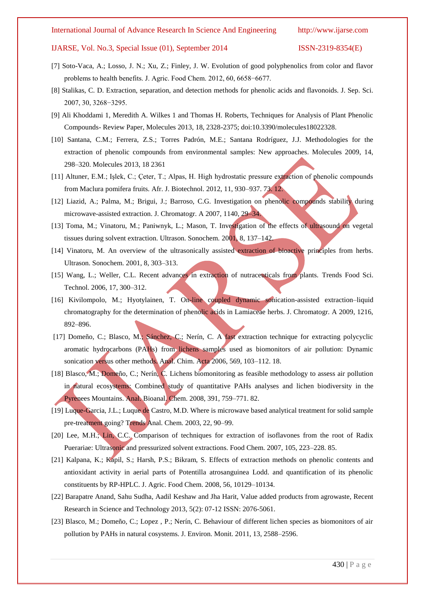- [7] Soto-Vaca, A.; Losso, J. N.; Xu, Z.; Finley, J. W. Evolution of good polyphenolics from color and flavor problems to health benefits. J. Agric. Food Chem. 2012, 60, 6658−6677.
- [8] Stalikas, C. D. Extraction, separation, and detection methods for phenolic acids and flavonoids. J. Sep. Sci. 2007, 30, 3268−3295.
- [9] Ali Khoddami 1, Meredith A. Wilkes 1 and Thomas H. Roberts, Techniques for Analysis of Plant Phenolic Compounds- Review Paper, Molecules 2013, 18, 2328-2375; doi:10.3390/molecules18022328.
- [10] Santana, C.M.; Ferrera, Z.S.; Torres Padrón, M.E.; Santana Rodríguez, J.J. Methodologies for the extraction of phenolic compounds from environmental samples: New approaches. Molecules 2009, 14, 298–320. Molecules 2013, 18 2361
- [11] Altuner, E.M.; Işlek, C.; Çeter, T.; Alpas, H. High hydrostatic pressure extraction of phenolic compounds from Maclura pomifera fruits. Afr. J. Biotechnol. 2012, 11, 930–937. 73. 12.
- [12] Liazid, A.; Palma, M.; Brigui, J.; Barroso, C.G. Investigation on phenolic compounds stability during microwave-assisted extraction. J. Chromatogr. A 2007, 1140, 29–34.
- [13] Toma, M.; Vinatoru, M.; Paniwnyk, L.; Mason, T. Investigation of the effects of ultrasound on vegetal tissues during solvent extraction. Ultrason. Sonochem. 2001, 8, 137–142.
- [14] Vinatoru, M. An overview of the ultrasonically assisted extraction of bioactive principles from herbs. Ultrason. Sonochem. 2001, 8, 303–313.
- [15] Wang, L.; Weller, C.L. Recent advances in extraction of nutraceuticals from plants. Trends Food Sci. Technol. 2006, 17, 300–312.
- [16] Kivilompolo, M.; Hyotylainen, T. On-line coupled dynamic sonication-assisted extraction-liquid chromatography for the determination of phenolic acids in Lamiaceae herbs. J. Chromatogr. A 2009, 1216, 892–896.
- [17] Domeño, C.; Blasco, M.; Sánchez, C.; Nerín, C. A fast extraction technique for extracting polycyclic aromatic hydrocarbons (PAHs) from lichens samples used as biomonitors of air pollution: Dynamic sonication versus other methods. Anal. Chim. Acta 2006, 569, 103–112. 18.
- [18] Blasco, M.; Domeño, C.; Nerín, C. Lichens biomonitoring as feasible methodology to assess air pollution in natural ecosystems: Combined study of quantitative PAHs analyses and lichen biodiversity in the Pyrenees Mountains. Anal. Bioanal. Chem. 2008, 391, 759–771. 82.
- [19] Luque-Garcia, J.L.; Luque de Castro, M.D. Where is microwave based analytical treatment for solid sample pre-treatment going? Trends Anal. Chem. 2003, 22, 90–99.
- [20] Lee, M.H.; Lin, C.C. Comparison of techniques for extraction of isoflavones from the root of Radix Puerariae: Ultrasonic and pressurized solvent extractions. Food Chem. 2007, 105, 223–228. 85.
- [21] Kalpana, K.; Kapil, S.; Harsh, P.S.; Bikram, S. Effects of extraction methods on phenolic contents and antioxidant activity in aerial parts of Potentilla atrosanguinea Lodd. and quantification of its phenolic constituents by RP-HPLC. J. Agric. Food Chem. 2008, 56, 10129–10134.
- [22] Barapatre Anand, Sahu Sudha, Aadil Keshaw and Jha Harit, Value added products from agrowaste, Recent Research in Science and Technology 2013, 5(2): 07-12 ISSN: 2076-5061.
- [23] Blasco, M.; Domeño, C.; Lopez , P.; Nerín, C. Behaviour of different lichen species as biomonitors of air pollution by PAHs in natural cosystems. J. Environ. Monit. 2011, 13, 2588–2596.